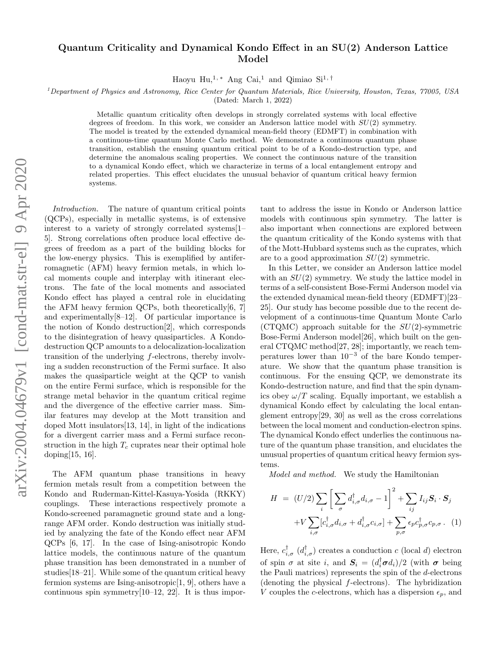# Quantum Criticality and Dynamical Kondo Effect in an SU(2) Anderson Lattice Model

Haoyu Hu,<sup>1,\*</sup> Ang Cai,<sup>1</sup> and Qimiao Si<sup>1,†</sup>

 $<sup>1</sup> Department of Physics and Astronomy, Rice Center for Quantum Materials, Rice University, Houston, Texas, 77005, USA$ </sup>

(Dated: March 1, 2022)

Metallic quantum criticality often develops in strongly correlated systems with local effective degrees of freedom. In this work, we consider an Anderson lattice model with  $SU(2)$  symmetry. The model is treated by the extended dynamical mean-field theory (EDMFT) in combination with a continuous-time quantum Monte Carlo method. We demonstrate a continuous quantum phase transition, establish the ensuing quantum critical point to be of a Kondo-destruction type, and determine the anomalous scaling properties. We connect the continuous nature of the transition to a dynamical Kondo effect, which we characterize in terms of a local entanglement entropy and related properties. This effect elucidates the unusual behavior of quantum critical heavy fermion systems.

Introduction. The nature of quantum critical points (QCPs), especially in metallic systems, is of extensive interest to a variety of strongly correlated systems[1– 5]. Strong correlations often produce local effective degrees of freedom as a part of the building blocks for the low-energy physics. This is exemplified by antiferromagnetic (AFM) heavy fermion metals, in which local moments couple and interplay with itinerant electrons. The fate of the local moments and associated Kondo effect has played a central role in elucidating the AFM heavy fermion QCPs, both theoretically $[6, 7]$ and experimentally[8–12]. Of particular importance is the notion of Kondo destruction[2], which corresponds to the disintegration of heavy quasiparticles. A Kondodestruction QCP amounts to a delocalization-localization transition of the underlying f-electrons, thereby involving a sudden reconstruction of the Fermi surface. It also makes the quasiparticle weight at the QCP to vanish on the entire Fermi surface, which is responsible for the strange metal behavior in the quantum critical regime and the divergence of the effective carrier mass. Similar features may develop at the Mott transition and doped Mott insulators[13, 14], in light of the indications for a divergent carrier mass and a Fermi surface reconstruction in the high  $T_c$  cuprates near their optimal hole doping[15, 16].

The AFM quantum phase transitions in heavy fermion metals result from a competition between the Kondo and Ruderman-Kittel-Kasuya-Yosida (RKKY) couplings. These interactions respectively promote a Kondo-screened paramagnetic ground state and a longrange AFM order. Kondo destruction was initially studied by analyzing the fate of the Kondo effect near AFM QCPs [6, 17]. In the case of Ising-anisotropic Kondo lattice models, the continuous nature of the quantum phase transition has been demonstrated in a number of studies[18–21]. While some of the quantum critical heavy fermion systems are Ising-anisotropic[1, 9], others have a continuous spin symmetry[10–12, 22]. It is thus impor-

tant to address the issue in Kondo or Anderson lattice models with continuous spin symmetry. The latter is also important when connections are explored between the quantum criticality of the Kondo systems with that of the Mott-Hubbard systems such as the cuprates, which are to a good approximation  $SU(2)$  symmetric.

In this Letter, we consider an Anderson lattice model with an  $SU(2)$  symmetry. We study the lattice model in terms of a self-consistent Bose-Fermi Anderson model via the extended dynamical mean-field theory (EDMFT)[23– 25]. Our study has become possible due to the recent development of a continuous-time Quantum Monte Carlo  $(CTQMC)$  approach suitable for the  $SU(2)$ -symmetric Bose-Fermi Anderson model[26], which built on the general CTQMC method[27, 28]; importantly, we reach temperatures lower than  $10^{-3}$  of the bare Kondo temperature. We show that the quantum phase transition is continuous. For the ensuing QCP, we demonstrate its Kondo-destruction nature, and find that the spin dynamics obey  $\omega/T$  scaling. Equally important, we establish a dynamical Kondo effect by calculating the local entanglement entropy[29, 30] as well as the cross correlations between the local moment and conduction-electron spins. The dynamical Kondo effect underlies the continuous nature of the quantum phase transition, and elucidates the unusual properties of quantum critical heavy fermion systems.

Model and method. We study the Hamiltonian

$$
H = (U/2) \sum_{i} \left[ \sum_{\sigma} d_{i,\sigma}^{\dagger} d_{i,\sigma} - 1 \right]^2 + \sum_{ij} I_{ij} \mathbf{S}_i \cdot \mathbf{S}_j
$$

$$
+ V \sum_{i,\sigma} [c_{i,\sigma}^{\dagger} d_{i,\sigma} + d_{i,\sigma}^{\dagger} c_{i,\sigma}] + \sum_{p,\sigma} \epsilon_p c_{p,\sigma}^{\dagger} c_{p,\sigma}.
$$
 (1)

Here,  $c_{i,\sigma}^{\dagger}$  ( $d_{i,\sigma}^{\dagger}$ ) creates a conduction c (local d) electron of spin  $\sigma$  at site i, and  $S_i = (d_i^{\dagger} \sigma d_i)/2$  (with  $\sigma$  being the Pauli matrices) represents the spin of the  $d$ -electrons (denoting the physical f-electrons). The hybridization V couples the c-electrons, which has a dispersion  $\epsilon_p$ , and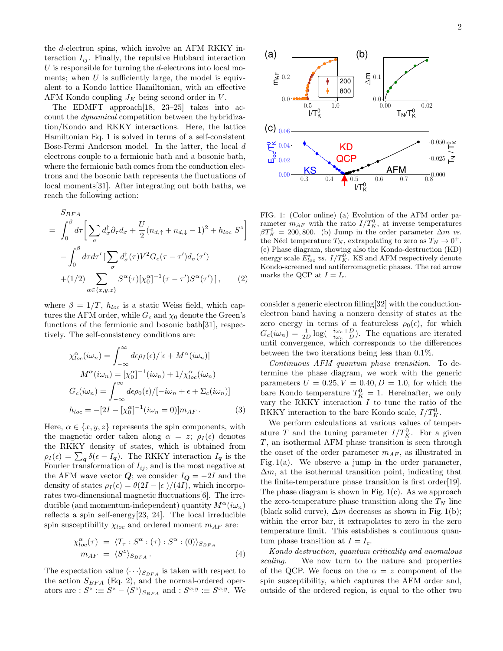the d-electron spins, which involve an AFM RKKY interaction  $I_{ij}$ . Finally, the repulsive Hubbard interaction  $U$  is responsible for turning the  $d$ -electrons into local moments; when  $U$  is sufficiently large, the model is equivalent to a Kondo lattice Hamiltonian, with an effective AFM Kondo coupling  $J_K$  being second order in V.

The EDMFT approach[18, 23–25] takes into account the dynamical competition between the hybridization/Kondo and RKKY interactions. Here, the lattice Hamiltonian Eq. 1 is solved in terms of a self-consistent Bose-Fermi Anderson model. In the latter, the local d electrons couple to a fermionic bath and a bosonic bath, where the fermionic bath comes from the conduction electrons and the bosonic bath represents the fluctuations of local moments[31]. After integrating out both baths, we reach the following action:

$$
S_{BFA} = \int_0^\beta d\tau \left[ \sum_\sigma d_\sigma^\dagger \partial_\tau d_\sigma + \frac{U}{2} (n_{d,\uparrow} + n_{d,\downarrow} - 1)^2 + h_{loc} S^z \right]
$$

$$
- \int_0^\beta d\tau d\tau' \left[ \sum_\sigma d_\sigma^\dagger(\tau) V^2 G_c(\tau - \tau') d_\sigma(\tau') \right]
$$

$$
+ (1/2) \sum_{\alpha \in \{x, y, z\}} S^\alpha(\tau) [\chi_0^\alpha]^{-1} (\tau - \tau') S^\alpha(\tau') \left[ , \qquad (2) \right]
$$

where  $\beta = 1/T$ ,  $h_{loc}$  is a static Weiss field, which captures the AFM order, while  $G_c$  and  $\chi_0$  denote the Green's functions of the fermionic and bosonic bath[31], respectively. The self-consistency conditions are:

$$
\chi_{loc}^{\alpha}(i\omega_n) = \int_{-\infty}^{\infty} d\epsilon \rho_I(\epsilon) / [\epsilon + M^{\alpha}(i\omega_n)]
$$

$$
M^{\alpha}(i\omega_n) = [\chi_0^{\alpha}]^{-1}(i\omega_n) + 1/\chi_{loc}^{\alpha}(i\omega_n)
$$

$$
G_c(i\omega_n) = \int_{-\infty}^{\infty} d\epsilon \rho_0(\epsilon) / [-i\omega_n + \epsilon + \Sigma_c(i\omega_n)]
$$

$$
h_{loc} = -[2I - [\chi_0^{\alpha}]^{-1}(i\omega_n = 0)]m_{AF}.
$$
(3)

Here,  $\alpha \in \{x, y, z\}$  represents the spin components, with the magnetic order taken along  $\alpha = z$ ;  $\rho_I(\epsilon)$  denotes the RKKY density of states, which is obtained from  $\rho_I(\epsilon) = \sum_{\mathbf{q}} \delta(\epsilon - I_{\mathbf{q}})$ . The RKKY interaction  $I_{\mathbf{q}}$  is the Fourier transformation of  $I_{ij}$ , and is the most negative at the AFM wave vector  $Q$ ; we consider  $I_Q = -2I$  and the density of states  $\rho_I(\epsilon) = \theta(2I - |\epsilon|)/(4I)$ , which incorporates two-dimensional magnetic fluctuations[6]. The irreducible (and momentum-independent) quantity  $M^{\alpha}(i\omega_n)$ reflects a spin self-energy[23, 24]. The local irreducible spin susceptibility  $\chi_{loc}$  and ordered moment  $m_{AF}$  are:

$$
\chi_{loc}^{\alpha}(\tau) = \langle T_{\tau} : S^{\alpha} : (\tau) : S^{\alpha} : (0) \rangle_{S_{BFA}}
$$
  
\n
$$
m_{AF} = \langle S^z \rangle_{S_{BFA}}.
$$
\n(4)

The expectation value  $\langle \cdots \rangle_{S_{BFA}}$  is taken with respect to the action  $S_{BFA}$  (Eq. 2), and the normal-ordered operators are :  $S^z \equiv S^z - \langle S^z \rangle_{S_{BFA}}$  and :  $S^{x,y} \equiv S^{x,y}$ . We



FIG. 1: (Color online) (a) Evolution of the AFM order parameter  $m_{AF}$  with the ratio  $I/T_K^0$ , at inverse temperatures  $\beta T_K^0 = 200, 800.$  (b) Jump in the order parameter  $\Delta m$  vs. the Néel temperature  $T_N$ , extrapolating to zero as  $T_N \to 0^+$ . (c) Phase diagram, showing also the Kondo-destruction (KD) energy scale  $E_{loc}^*$  vs.  $I/T_K^0$ . KS and AFM respectively denote Kondo-screened and antiferromagnetic phases. The red arrow marks the QCP at  $I = I_c$ .

consider a generic electron filling[32] with the conductionelectron band having a nonzero density of states at the zero energy in terms of a featureless  $\rho_0(\epsilon)$ , for which  $G_c(i\omega_n) = \frac{1}{2D} \log(\frac{-i\omega_n + D}{i\omega_n - D})$ . The equations are iterated until convergence, which corresponds to the differences between the two iterations being less than 0.1%.

Continuous AFM quantum phase transition. To determine the phase diagram, we work with the generic parameters  $U = 0.25, V = 0.40, D = 1.0$ , for which the bare Kondo temperature  $T_K^0 = 1$ . Hereinafter, we only vary the RKKY interaction  $I$  to tune the ratio of the RKKY interaction to the bare Kondo scale,  $I/T_K^0$ .

We perform calculations at various values of temperature T and the tuning parameter  $I/T_K^0$ . For a given T, an isothermal AFM phase transition is seen through the onset of the order parameter  $m_{AF}$ , as illustrated in Fig. 1(a). We observe a jump in the order parameter,  $\Delta m$ , at the isothermal transition point, indicating that the finite-temperature phase transition is first order[19]. The phase diagram is shown in Fig. 1(c). As we approach the zero-temperature phase transition along the  $T_N$  line (black solid curve),  $\Delta m$  decreases as shown in Fig. 1(b); within the error bar, it extrapolates to zero in the zero temperature limit. This establishes a continuous quantum phase transition at  $I = I_c$ .

Kondo destruction, quantum criticality and anomalous scaling. We now turn to the nature and properties of the QCP. We focus on the  $\alpha = z$  component of the spin susceptibility, which captures the AFM order and, outside of the ordered region, is equal to the other two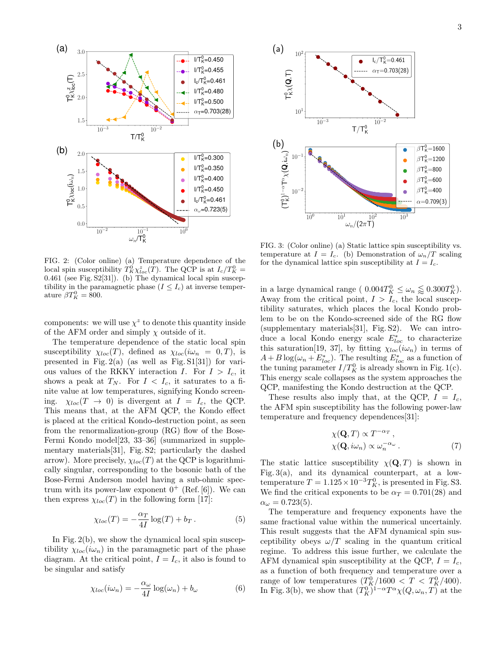



FIG. 2: (Color online) (a) Temperature dependence of the local spin susceptibility  $T_K^0 \chi_{loc}^z(T)$ . The QCP is at  $I_c/T_K^0$  = 0.461 (see Fig. S2[31]). (b) The dynamical local spin susceptibility in the paramagnetic phase  $(I \leq I_c)$  at inverse temperature  $\beta T_K^0 = 800$ .

components: we will use  $\chi^z$  to denote this quantity inside of the AFM order and simply  $\chi$  outside of it.

The temperature dependence of the static local spin susceptibility  $\chi_{loc}(T)$ , defined as  $\chi_{loc}(i\omega_n = 0, T)$ , is presented in Fig.  $2(a)$  (as well as Fig. S1[31]) for various values of the RKKY interaction I. For  $I > I_c$ , it shows a peak at  $T_N$ . For  $I < I_c$ , it saturates to a finite value at low temperatures, signifying Kondo screening.  $\chi_{loc}(T \rightarrow 0)$  is divergent at  $I = I_c$ , the QCP. This means that, at the AFM QCP, the Kondo effect is placed at the critical Kondo-destruction point, as seen from the renormalization-group (RG) flow of the Bose-Fermi Kondo model[23, 33–36] (summarized in supplementary materials[31], Fig. S2; particularly the dashed arrow). More precisely,  $\chi_{loc}(T)$  at the QCP is logarithmically singular, corresponding to the bosonic bath of the Bose-Fermi Anderson model having a sub-ohmic spectrum with its power-law exponent  $0^+$  (Ref. [6]). We can then express  $\chi_{loc}(T)$  in the following form [17]:

$$
\chi_{loc}(T) = -\frac{\alpha_T}{4I} \log(T) + b_T. \tag{5}
$$

In Fig. 2(b), we show the dynamical local spin susceptibility  $\chi_{loc}(i\omega_n)$  in the paramagnetic part of the phase diagram. At the critical point,  $I = I_c$ , it also is found to be singular and satisfy

$$
\chi_{loc}(i\omega_n) = -\frac{\alpha_\omega}{4I} \log(\omega_n) + b_\omega \tag{6}
$$

FIG. 3: (Color online) (a) Static lattice spin susceptibility vs. temperature at  $I = I_c$ . (b) Demonstration of  $\omega_n/T$  scaling for the dynamical lattice spin susceptibility at  $I = I_c$ .

in a large dynamical range ( $0.004T_K^0 \leq \omega_n \leq 0.300T_K^0$ ). Away from the critical point,  $I > I_c$ , the local susceptibility saturates, which places the local Kondo problem to be on the Kondo-screened side of the RG flow (supplementary materials[31], Fig. S2). We can introduce a local Kondo energy scale  $E_{loc}^*$  to characterize this saturation[19, 37], by fitting  $\chi_{loc}(i\omega_n)$  in terms of  $A + B \log(\omega_n + E_{loc}^*)$ . The resulting  $E_{loc}^*$  as a function of the tuning parameter  $I/T_K^0$  is already shown in Fig. 1(c). This energy scale collapses as the system approaches the QCP, manifesting the Kondo destruction at the QCP.

These results also imply that, at the QCP,  $I = I_c$ , the AFM spin susceptibility has the following power-law temperature and frequency dependences[31]:

$$
\chi(\mathbf{Q}, T) \propto T^{-\alpha_T},
$$
  
\n
$$
\chi(\mathbf{Q}, i\omega_n) \propto \omega_n^{-\alpha_\omega}.
$$
\n(7)

The static lattice susceptibility  $\chi(\mathbf{Q}, T)$  is shown in Fig. 3(a), and its dynamical counterpart, at a lowtemperature  $T = 1.125 \times 10^{-3} T_K^0$ , is presented in Fig. S3. We find the critical exponents to be  $\alpha_T = 0.701(28)$  and  $\alpha_{\omega}=0.723(5).$ 

The temperature and frequency exponents have the same fractional value within the numerical uncertainly. This result suggests that the AFM dynamical spin susceptibility obeys  $\omega/T$  scaling in the quantum critical regime. To address this issue further, we calculate the AFM dynamical spin susceptibility at the QCP,  $I = I_c$ , as a function of both frequency and temperature over a range of low temperatures  $(T_K^0/1600 < T < T_K^0/400)$ . In Fig. 3(b), we show that  $(T_K^0)^{1-\alpha}T^{\alpha}\chi(Q,\omega_n,T)$  at the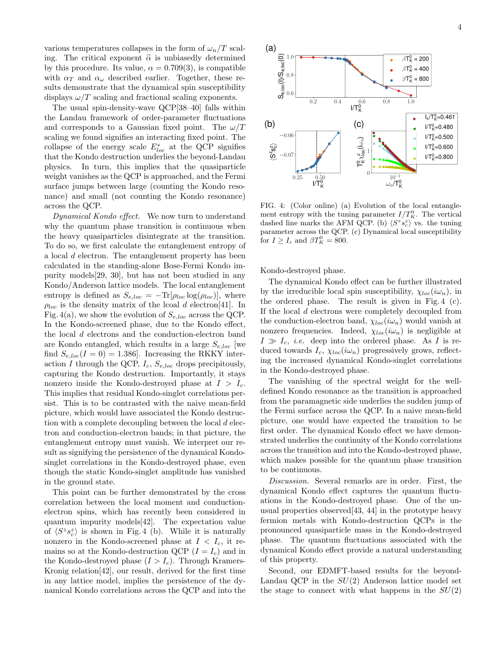various temperatures collapses in the form of  $\omega_n/T$  scaling. The critical exponent  $\tilde{\alpha}$  is unbiasedly determined by this procedure. Its value,  $\alpha = 0.709(3)$ , is compatible with  $\alpha_T$  and  $\alpha_\omega$  described earlier. Together, these results demonstrate that the dynamical spin susceptibility displays  $\omega/T$  scaling and fractional scaling exponents.

The usual spin-density-wave QCP[38–40] falls within the Landau framework of order-parameter fluctuations and corresponds to a Gaussian fixed point. The  $\omega/T$ scaling we found signifies an interacting fixed point. The collapse of the energy scale  $E_{loc}^*$  at the QCP signifies that the Kondo destruction underlies the beyond-Landau physics. In turn, this implies that the quasiparticle weight vanishes as the QCP is approached, and the Fermi surface jumps between large (counting the Kondo resonance) and small (not counting the Kondo resonance) across the QCP.

Dynamical Kondo effect. We now turn to understand why the quantum phase transition is continuous when the heavy quasiparticles disintegrate at the transition. To do so, we first calculate the entanglement entropy of a local d electron. The entanglement property has been calculated in the standing-alone Bose-Fermi Kondo impurity models[29, 30], but has not been studied in any Kondo/Anderson lattice models. The local entanglement entropy is defined as  $S_{e,loc} = -\text{Tr}[\rho_{loc} \log(\rho_{loc})],$  where  $\rho_{loc}$  is the density matrix of the lcoal d electron[41]. In Fig. 4(a), we show the evolution of  $S_{e,loc}$  across the QCP. In the Kondo-screened phase, due to the Kondo effect, the local d electrons and the conduction-electron band are Kondo entangled, which results in a large  $S_{e,loc}$  we find  $S_{e,loc}(I=0) = 1.386$ . Increasing the RKKY interaction I through the QCP,  $I_c$ ,  $S_{e,loc}$  drops precipitously, capturing the Kondo destruction. Importantly, it stays nonzero inside the Kondo-destroyed phase at  $I > I_c$ . This implies that residual Kondo-singlet correlations persist. This is to be contrasted with the naive mean-field picture, which would have associated the Kondo destruction with a complete decoupling between the local d electron and conduction-electron bands; in that picture, the entanglement entropy must vanish. We interpret our result as signifying the persistence of the dynamical Kondosinglet correlations in the Kondo-destroyed phase, even though the static Kondo-singlet amplitude has vanished in the ground state.

This point can be further demonstrated by the cross correlation between the local moment and conductionelectron spins, which has recently been considered in quantum impurity models[42]. The expectation value of  $\langle S^z s_c^z \rangle$  is shown in Fig. 4 (b). While it is naturally nonzero in the Kondo-screened phase at  $I < I_c$ , it remains so at the Kondo-destruction QCP  $(I = I_c)$  and in the Kondo-destroyed phase  $(I > I_c)$ . Through Kramers-Kronig relation[42], our result, derived for the first time in any lattice model, implies the persistence of the dynamical Kondo correlations across the QCP and into the



FIG. 4: (Color online) (a) Evolution of the local entanglement entropy with the tuning parameter  $I/T_K^0$ . The vertical dashed line marks the AFM QCP. (b)  $\langle S^z s_c^z \rangle$  vs. the tuning parameter across the QCP. (c) Dynamical local susceptibility for  $I \ge I_c$  and  $\beta T_K^0 = 800$ .

Kondo-destroyed phase.

The dynamical Kondo effect can be further illustrated by the irreducible local spin susceptibility,  $\chi_{loc}(i\omega_n)$ , in the ordered phase. The result is given in Fig. 4 (c). If the local d electrons were completely decoupled from the conduction-electron band,  $\chi_{loc}(i\omega_n)$  would vanish at nonzero frequencies. Indeed,  $\chi_{loc}(i\omega_n)$  is negligible at  $I \gg I_c$ , *i.e.* deep into the ordered phase. As I is reduced towards  $I_c$ ,  $\chi_{loc}(i\omega_n)$  progressively grows, reflecting the increased dynamical Kondo-singlet correlations in the Kondo-destroyed phase.

The vanishing of the spectral weight for the welldefined Kondo resonance as the transition is approached from the paramagnetic side underlies the sudden jump of the Fermi surface across the QCP. In a naive mean-field picture, one would have expected the transition to be first order. The dynamical Kondo effect we have demonstrated underlies the continuity of the Kondo correlations across the transition and into the Kondo-destroyed phase, which makes possible for the quantum phase transition to be continuous.

Discussion. Several remarks are in order. First, the dynamical Kondo effect captures the quantum fluctuations in the Kondo-destroyed phase. One of the unusual properties observed[43, 44] in the prototype heavy fermion metals with Kondo-destruction QCPs is the pronounced quasiparticle mass in the Kondo-destroyed phase. The quantum fluctuations associated with the dynamical Kondo effect provide a natural understanding of this property.

Second, our EDMFT-based results for the beyond-Landau QCP in the  $SU(2)$  Anderson lattice model set the stage to connect with what happens in the  $SU(2)$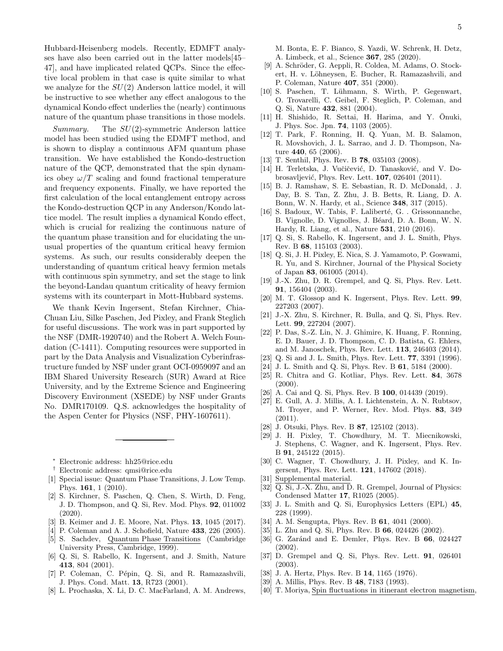Hubbard-Heisenberg models. Recently, EDMFT analyses have also been carried out in the latter models[45– 47], and have implicated related QCPs. Since the effective local problem in that case is quite similar to what we analyze for the  $SU(2)$  Anderson lattice model, it will be instructive to see whether any effect analogous to the dynamical Kondo effect underlies the (nearly) continuous nature of the quantum phase transitions in those models.

Summary. The SU(2)-symmetric Anderson lattice model has been studied using the EDMFT method, and is shown to display a continuous AFM quantum phase transition. We have established the Kondo-destruction nature of the QCP, demonstrated that the spin dynamics obey  $\omega/T$  scaling and found fractional temperature and frequency exponents. Finally, we have reported the first calculation of the local entanglement entropy across the Kondo-destruction QCP in any Anderson/Kondo lattice model. The result implies a dynamical Kondo effect, which is crucial for realizing the continuous nature of the quantum phase transition and for elucidating the unusual properties of the quantum critical heavy fermion systems. As such, our results considerably deepen the understanding of quantum critical heavy fermion metals with continuous spin symmetry, and set the stage to link the beyond-Landau quantum criticality of heavy fermion systems with its counterpart in Mott-Hubbard systems.

We thank Kevin Ingersent, Stefan Kirchner, Chia-Chuan Liu, Silke Paschen, Jed Pixley, and Frank Steglich for useful discussions. The work was in part supported by the NSF (DMR-1920740) and the Robert A. Welch Foundation (C-1411). Computing resources were supported in part by the Data Analysis and Visualization Cyberinfrastructure funded by NSF under grant OCI-0959097 and an IBM Shared University Research (SUR) Award at Rice University, and by the Extreme Science and Engineering Discovery Environment (XSEDE) by NSF under Grants No. DMR170109. Q.S. acknowledges the hospitality of the Aspen Center for Physics (NSF, PHY-1607611).

- <sup>∗</sup> Electronic address: hh25@rice.edu
- † Electronic address: qmsi@rice.edu
- [1] Special issue: Quantum Phase Transitions, J. Low Temp. Phys. 161, 1 (2010).
- [2] S. Kirchner, S. Paschen, Q. Chen, S. Wirth, D. Feng, J. D. Thompson, and Q. Si, Rev. Mod. Phys. 92, 011002 (2020).
- [3] B. Keimer and J. E. Moore, Nat. Phys. 13, 1045 (2017).
- [4] P. Coleman and A. J. Schofield, Nature 433, 226 (2005). [5] S. Sachdev, Quantum Phase Transitions (Cambridge University Press, Cambridge, 1999).
- [6] Q. Si, S. Rabello, K. Ingersent, and J. Smith, Nature 413, 804 (2001).
- [7] P. Coleman, C. Pépin, Q. Si, and R. Ramazashvili, J. Phys. Cond. Matt. 13, R723 (2001).
- [8] L. Prochaska, X. Li, D. C. MacFarland, A. M. Andrews,

M. Bonta, E. F. Bianco, S. Yazdi, W. Schrenk, H. Detz, A. Limbeck, et al., Science 367, 285 (2020).

- [9] A. Schröder, G. Aeppli, R. Coldea, M. Adams, O. Stockert, H. v. Löhneysen, E. Bucher, R. Ramazashvili, and P. Coleman, Nature 407, 351 (2000).
- [10] S. Paschen, T. Lühmann, S. Wirth, P. Gegenwart, O. Trovarelli, C. Geibel, F. Steglich, P. Coleman, and Q. Si, Nature 432, 881 (2004).
- $[11]$  H. Shishido, R. Settai, H. Harima, and Y.  $\bar{O}$ nuki, J. Phys. Soc. Jpn. 74, 1103 (2005).
- [12] T. Park, F. Ronning, H. Q. Yuan, M. B. Salamon, R. Movshovich, J. L. Sarrao, and J. D. Thompson, Nature 440, 65 (2006).
- [13] T. Senthil, Phys. Rev. B 78, 035103 (2008).
- [14] H. Terletska, J. Vučičević, D. Tanasković, and V. Dobrosavljević, Phys. Rev. Lett. **107**, 026401 (2011).
- [15] B. J. Ramshaw, S. E. Sebastian, R. D. McDonald, . J. Day, B. S. Tan, Z. Zhu, J. B. Betts, R. Liang, D. A. Bonn, W. N. Hardy, et al., Science 348, 317 (2015).
- [16] S. Badoux, W. Tabis, F. Laliberté, G. . Grissonnanche, B. Vignolle, D. Vignolles, J. Béard, D. A. Bonn, W. N. Hardy, R. Liang, et al., Nature 531, 210 (2016).
- [17] Q. Si, S. Rabello, K. Ingersent, and J. L. Smith, Phys. Rev. B 68, 115103 (2003).
- [18] Q. Si, J. H. Pixley, E. Nica, S. J. Yamamoto, P. Goswami, R. Yu, and S. Kirchner, Journal of the Physical Society of Japan 83, 061005 (2014).
- [19] J.-X. Zhu, D. R. Grempel, and Q. Si, Phys. Rev. Lett. 91, 156404 (2003).
- [20] M. T. Glossop and K. Ingersent, Phys. Rev. Lett. 99, 227203 (2007).
- [21] J.-X. Zhu, S. Kirchner, R. Bulla, and Q. Si, Phys. Rev. Lett. 99, 227204 (2007).
- [22] P. Das, S.-Z. Lin, N. J. Ghimire, K. Huang, F. Ronning, E. D. Bauer, J. D. Thompson, C. D. Batista, G. Ehlers, and M. Janoschek, Phys. Rev. Lett. 113, 246403 (2014).
- [23] Q. Si and J. L. Smith, Phys. Rev. Lett. **77**, 3391 (1996).
- [24] J. L. Smith and Q. Si, Phys. Rev. B 61, 5184 (2000).
- [25] R. Chitra and G. Kotliar, Phys. Rev. Lett. 84, 3678  $(2000).$
- [26] A. Cai and Q. Si, Phys. Rev. B **100**, 014439 (2019).
- [27] E. Gull, A. J. Millis, A. I. Lichtenstein, A. N. Rubtsov, M. Troyer, and P. Werner, Rev. Mod. Phys. 83, 349 (2011).
- [28] J. Otsuki, Phys. Rev. B **87**, 125102 (2013).
- [29] J. H. Pixley, T. Chowdhury, M. T. Miecnikowski, J. Stephens, C. Wagner, and K. Ingersent, Phys. Rev. B 91, 245122 (2015).
- [30] C. Wagner, T. Chowdhury, J. H. Pixley, and K. Ingersent, Phys. Rev. Lett. 121, 147602 (2018).
- [31] Supplemental material.
- [32] Q. Si, J.-X. Zhu, and D. R. Grempel, Journal of Physics: Condensed Matter 17, R1025 (2005).
- [33] J. L. Smith and Q. Si, Europhysics Letters (EPL) 45, 228 (1999).
- [34] A. M. Sengupta, Phys. Rev. B **61**, 4041 (2000).
- [35] L. Zhu and Q. Si, Phys. Rev. B 66, 024426 (2002).
- [36] G. Zaránd and E. Demler, Phys. Rev. B 66, 024427 (2002).
- [37] D. Grempel and Q. Si, Phys. Rev. Lett. 91, 026401 (2003).
- [38] J. A. Hertz, Phys. Rev. B 14, 1165 (1976).
- [39] A. Millis, Phys. Rev. B 48, 7183 (1993).
- [40] T. Moriya, Spin fluctuations in itinerant electron magnetism,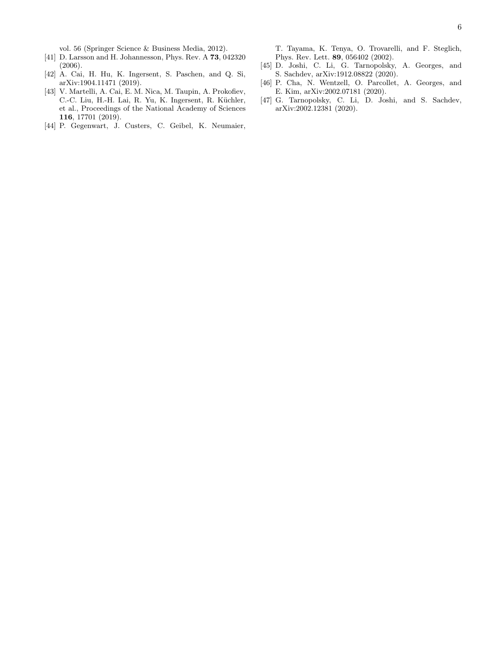vol. 56 (Springer Science & Business Media, 2012).

- [41] D. Larsson and H. Johannesson, Phys. Rev. A 73, 042320 (2006).
- [42] A. Cai, H. Hu, K. Ingersent, S. Paschen, and Q. Si, arXiv:1904.11471 (2019).
- [43] V. Martelli, A. Cai, E. M. Nica, M. Taupin, A. Prokofiev, C.-C. Liu, H.-H. Lai, R. Yu, K. Ingersent, R. Küchler, et al., Proceedings of the National Academy of Sciences 116, 17701 (2019).
- [44] P. Gegenwart, J. Custers, C. Geibel, K. Neumaier,

T. Tayama, K. Tenya, O. Trovarelli, and F. Steglich, Phys. Rev. Lett. 89, 056402 (2002).

- [45] D. Joshi, C. Li, G. Tarnopolsky, A. Georges, and S. Sachdev, arXiv:1912.08822 (2020).
- [46] P. Cha, N. Wentzell, O. Parcollet, A. Georges, and E. Kim, arXiv:2002.07181 (2020).
- [47] G. Tarnopolsky, C. Li, D. Joshi, and S. Sachdev, arXiv:2002.12381 (2020).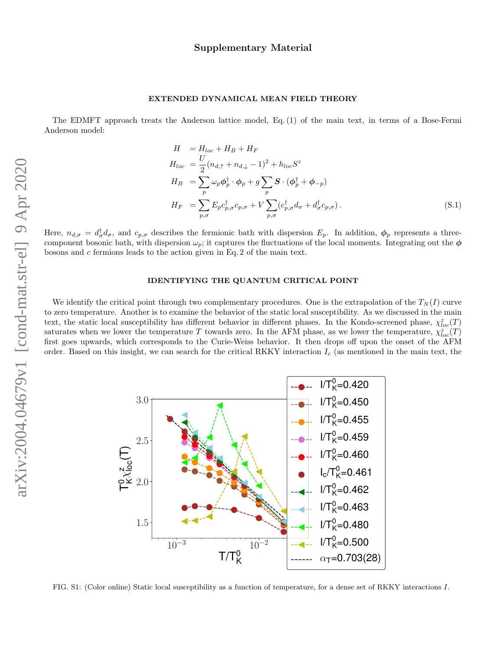#### EXTENDED DYNAMICAL MEAN FIELD THEORY

The EDMFT approach treats the Anderson lattice model, Eq. (1) of the main text, in terms of a Bose-Fermi Anderson model:

$$
H = H_{loc} + H_B + H_F
$$
  
\n
$$
H_{loc} = \frac{U}{2} (n_{d,\uparrow} + n_{d,\downarrow} - 1)^2 + h_{loc} S^z
$$
  
\n
$$
H_B = \sum_p \omega_p \phi_p^{\dagger} \cdot \phi_p + g \sum_p \mathbf{S} \cdot (\phi_p^{\dagger} + \phi_{-p})
$$
  
\n
$$
H_F = \sum_{p,\sigma} E_p c_{p,\sigma}^{\dagger} c_{p,\sigma} + V \sum_{p,\sigma} (c_{p,\sigma}^{\dagger} d_{\sigma} + d_{\sigma}^{\dagger} c_{p,\sigma}).
$$
\n(S.1)

Here,  $n_{d,\sigma} = d_{\sigma}^{\dagger} d_{\sigma}$ , and  $c_{p,\sigma}$  describes the fermionic bath with dispersion  $E_p$ . In addition,  $\phi_p$  represents a threecomponent bosonic bath, with dispersion  $\omega_p$ ; it captures the fluctuations of the local moments. Integrating out the  $\phi$ bosons and c fermions leads to the action given in Eq. 2 of the main text.

### IDENTIFYING THE QUANTUM CRITICAL POINT

We identify the critical point through two complementary procedures. One is the extrapolation of the  $T<sub>N</sub>(I)$  curve to zero temperature. Another is to examine the behavior of the static local susceptibility. As we discussed in the main text, the static local susceptibility has different behavior in different phases. In the Kondo-screened phase,  $\chi^z_{loc}(T)$ saturates when we lower the temperature T towards zero. In the AFM phase, as we lower the temperature,  $\chi^z_{loc}(T)$ first goes upwards, which corresponds to the Curie-Weiss behavior. It then drops off upon the onset of the AFM order. Based on this insight, we can search for the critical RKKY interaction  $I_c$  (as mentioned in the main text, the



FIG. S1: (Color online) Static local susceptibility as a function of temperature, for a dense set of RKKY interactions I.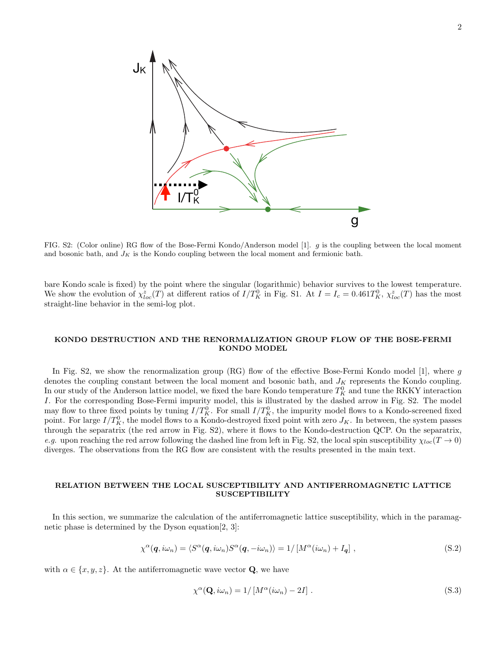

FIG. S2: (Color online) RG flow of the Bose-Fermi Kondo/Anderson model [1].  $g$  is the coupling between the local moment and bosonic bath, and  $J_K$  is the Kondo coupling between the local moment and fermionic bath.

bare Kondo scale is fixed) by the point where the singular (logarithmic) behavior survives to the lowest temperature. We show the evolution of  $\chi_{loc}^z(T)$  at different ratios of  $I/T_K^0$  in Fig. S1. At  $I = I_c = 0.461T_K^0$ ,  $\chi_{loc}^z(T)$  has the most straight-line behavior in the semi-log plot.

## KONDO DESTRUCTION AND THE RENORMALIZATION GROUP FLOW OF THE BOSE-FERMI KONDO MODEL

In Fig. S2, we show the renormalization group  $(RG)$  flow of the effective Bose-Fermi Kondo model [1], where g denotes the coupling constant between the local moment and bosonic bath, and  $J_K$  represents the Kondo coupling. In our study of the Anderson lattice model, we fixed the bare Kondo temperature  $T_K^0$  and tune the RKKY interaction I. For the corresponding Bose-Fermi impurity model, this is illustrated by the dashed arrow in Fig. S2. The model may flow to three fixed points by tuning  $I/T_K^0$ . For small  $I/T_K^0$ , the impurity model flows to a Kondo-screened fixed point. For large  $I/T_K^0$ , the model flows to a Kondo-destroyed fixed point with zero  $J_K$ . In between, the system passes through the separatrix (the red arrow in Fig. S2), where it flows to the Kondo-destruction QCP. On the separatrix, e.g. upon reaching the red arrow following the dashed line from left in Fig. S2, the local spin susceptibility  $\chi_{loc}(T\to 0)$ diverges. The observations from the RG flow are consistent with the results presented in the main text.

#### RELATION BETWEEN THE LOCAL SUSCEPTIBILITY AND ANTIFERROMAGNETIC LATTICE SUSCEPTIBILITY

In this section, we summarize the calculation of the antiferromagnetic lattice susceptibility, which in the paramagnetic phase is determined by the Dyson equation[2, 3]:

$$
\chi^{\alpha}(\mathbf{q}, i\omega_n) = \langle S^{\alpha}(\mathbf{q}, i\omega_n) S^{\alpha}(\mathbf{q}, -i\omega_n) \rangle = 1 / \left[ M^{\alpha}(i\omega_n) + I_{\mathbf{q}} \right],
$$
\n(S.2)

with  $\alpha \in \{x, y, z\}$ . At the antiferromagnetic wave vector **Q**, we have

$$
\chi^{\alpha}(\mathbf{Q}, i\omega_n) = 1/[M^{\alpha}(i\omega_n) - 2I]. \qquad (S.3)
$$